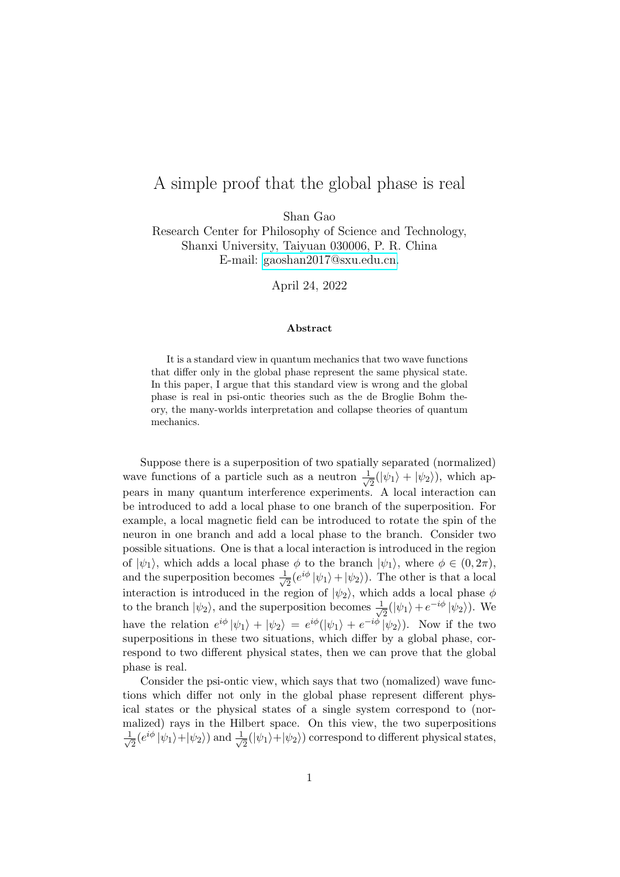## <span id="page-0-0"></span>A simple proof that the global phase is real

Shan Gao

Research Center for Philosophy of Science and Technology, Shanxi University, Taiyuan 030006, P. R. China E-mail: [gaoshan2017@sxu.edu.cn.](mailto:gaoshan2017@sxu.edu.cn)

April 24, 2022

## Abstract

It is a standard view in quantum mechanics that two wave functions that differ only in the global phase represent the same physical state. In this paper, I argue that this standard view is wrong and the global phase is real in psi-ontic theories such as the de Broglie Bohm theory, the many-worlds interpretation and collapse theories of quantum mechanics.

Suppose there is a superposition of two spatially separated (normalized) wave functions of a particle such as a neutron  $\frac{1}{\sqrt{2}}$  $\frac{1}{2}(|\psi_1\rangle + |\psi_2\rangle)$ , which appears in many quantum interference experiments. A local interaction can be introduced to add a local phase to one branch of the superposition. For example, a local magnetic field can be introduced to rotate the spin of the neuron in one branch and add a local phase to the branch. Consider two possible situations. One is that a local interaction is introduced in the region of  $|\psi_1\rangle$ , which adds a local phase  $\phi$  to the branch  $|\psi_1\rangle$ , where  $\phi \in (0, 2\pi)$ , and the superposition becomes  $\frac{1}{\sqrt{2}}$  $\frac{1}{2}(e^{i\phi}|\psi_1\rangle+|\psi_2\rangle)$ . The other is that a local interaction is introduced in the region of  $|\psi_2\rangle$ , which adds a local phase  $\phi$ to the branch  $|\psi_2\rangle$ , and the superposition becomes  $\frac{1}{\sqrt{2}}$  $\frac{1}{2}(|\psi_1\rangle + e^{-i\phi} |\psi_2\rangle)$ . We have the relation  $e^{i\phi} |\psi_1\rangle + |\psi_2\rangle = e^{i\phi}(|\psi_1\rangle + e^{-i\phi}|\psi_2\rangle)$ . Now if the two superpositions in these two situations, which differ by a global phase, correspond to two different physical states, then we can prove that the global phase is real.

Consider the psi-ontic view, which says that two (nomalized) wave functions which differ not only in the global phase represent different physical states or the physical states of a single system correspond to (normalized) rays in the Hilbert space. On this view, the two superpositions  $\frac{1}{\sqrt{2}}$  $\frac{1}{2}(e^{i\phi}|\psi_1\rangle + |\psi_2\rangle)$  and  $\frac{1}{\sqrt{2}}$  $\frac{1}{2}(|\psi_1\rangle+|\psi_2\rangle)$  correspond to different physical states,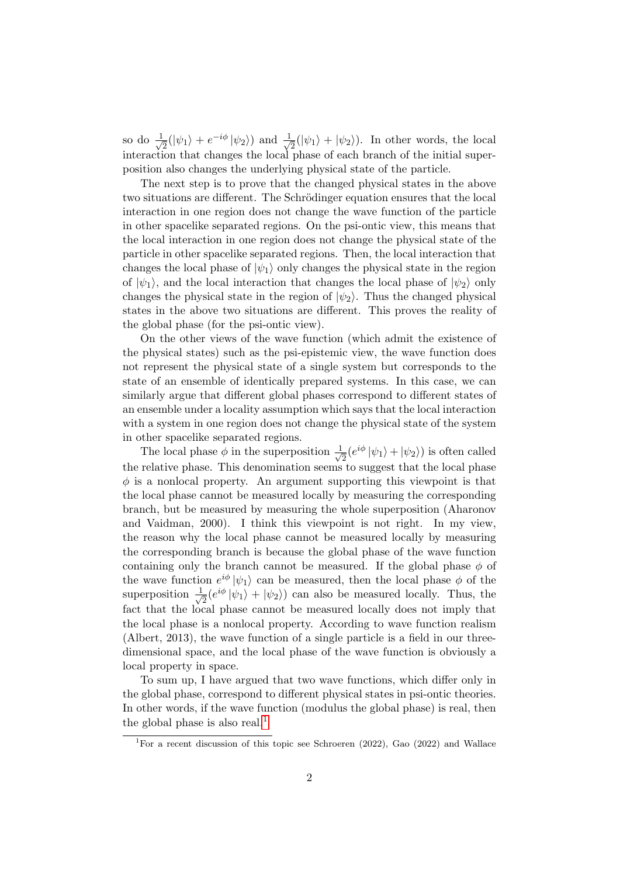so do  $\frac{1}{\sqrt{2}}$  $\frac{1}{2}(|\psi_1\rangle + e^{-i\phi} |\psi_2\rangle)$  and  $\frac{1}{\sqrt{2}}$  $\frac{1}{2}(|\psi_1\rangle + |\psi_2\rangle)$ . In other words, the local interaction that changes the local phase of each branch of the initial superposition also changes the underlying physical state of the particle.

The next step is to prove that the changed physical states in the above two situations are different. The Schrödinger equation ensures that the local interaction in one region does not change the wave function of the particle in other spacelike separated regions. On the psi-ontic view, this means that the local interaction in one region does not change the physical state of the particle in other spacelike separated regions. Then, the local interaction that changes the local phase of  $|\psi_1\rangle$  only changes the physical state in the region of  $|\psi_1\rangle$ , and the local interaction that changes the local phase of  $|\psi_2\rangle$  only changes the physical state in the region of  $|\psi_2\rangle$ . Thus the changed physical states in the above two situations are different. This proves the reality of the global phase (for the psi-ontic view).

On the other views of the wave function (which admit the existence of the physical states) such as the psi-epistemic view, the wave function does not represent the physical state of a single system but corresponds to the state of an ensemble of identically prepared systems. In this case, we can similarly argue that different global phases correspond to different states of an ensemble under a locality assumption which says that the local interaction with a system in one region does not change the physical state of the system in other spacelike separated regions.

The local phase  $\phi$  in the superposition  $\frac{1}{\sqrt{2}}$  $\frac{1}{2}(e^{i\phi}|\psi_1\rangle + |\psi_2\rangle)$  is often called the relative phase. This denomination seems to suggest that the local phase  $\phi$  is a nonlocal property. An argument supporting this viewpoint is that the local phase cannot be measured locally by measuring the corresponding branch, but be measured by measuring the whole superposition (Aharonov and Vaidman, 2000). I think this viewpoint is not right. In my view, the reason why the local phase cannot be measured locally by measuring the corresponding branch is because the global phase of the wave function containing only the branch cannot be measured. If the global phase  $\phi$  of the wave function  $e^{i\phi} |\psi_1\rangle$  can be measured, then the local phase  $\phi$  of the superposition  $\frac{1}{\sqrt{2}}$  $\frac{1}{2}(e^{i\phi}|\psi_1\rangle + |\psi_2\rangle)$  can also be measured locally. Thus, the fact that the local phase cannot be measured locally does not imply that the local phase is a nonlocal property. According to wave function realism (Albert, 2013), the wave function of a single particle is a field in our threedimensional space, and the local phase of the wave function is obviously a local property in space.

To sum up, I have argued that two wave functions, which differ only in the global phase, correspond to different physical states in psi-ontic theories. In other words, if the wave function (modulus the global phase) is real, then the global phase is also real.<sup>[1](#page-0-0)</sup>

<sup>&</sup>lt;sup>1</sup>For a recent discussion of this topic see Schroeren (2022), Gao (2022) and Wallace